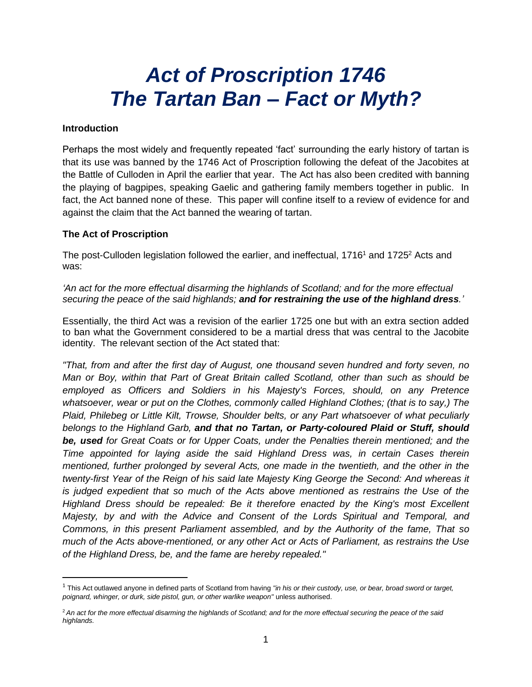# *Act of Proscription 1746 The Tartan Ban – Fact or Myth?*

## **Introduction**

Perhaps the most widely and frequently repeated 'fact' surrounding the early history of tartan is that its use was banned by the 1746 Act of Proscription following the defeat of the Jacobites at the Battle of Culloden in April the earlier that year. The Act has also been credited with banning the playing of bagpipes, speaking Gaelic and gathering family members together in public. In fact, the Act banned none of these. This paper will confine itself to a review of evidence for and against the claim that the Act banned the wearing of tartan.

### **The Act of Proscription**

The post-Culloden legislation followed the earlier, and ineffectual, 1716<sup>1</sup> and 1725<sup>2</sup> Acts and was:

*'An act for the more effectual disarming the highlands of Scotland; and for the more effectual securing the peace of the said highlands; and for restraining the use of the highland dress.'* 

Essentially, the third Act was a revision of the earlier 1725 one but with an extra section added to ban what the Government considered to be a martial dress that was central to the Jacobite identity. The relevant section of the Act stated that:

*"That, from and after the first day of August, one thousand seven hundred and forty seven, no Man or Boy, within that Part of Great Britain called Scotland, other than such as should be employed as Officers and Soldiers in his Majesty's Forces, should, on any Pretence whatsoever, wear or put on the Clothes, commonly called Highland Clothes; (that is to say,) The Plaid, Philebeg or Little Kilt, Trowse, Shoulder belts, or any Part whatsoever of what peculiarly belongs to the Highland Garb, and that no Tartan, or Party-coloured Plaid or Stuff, should be, used for Great Coats or for Upper Coats, under the Penalties therein mentioned; and the Time appointed for laying aside the said Highland Dress was, in certain Cases therein mentioned, further prolonged by several Acts, one made in the twentieth, and the other in the twenty-first Year of the Reign of his said late Majesty King George the Second: And whereas it is judged expedient that so much of the Acts above mentioned as restrains the Use of the Highland Dress should be repealed: Be it therefore enacted by the King's most Excellent Majesty, by and with the Advice and Consent of the Lords Spiritual and Temporal, and Commons, in this present Parliament assembled, and by the Authority of the fame, That so much of the Acts above-mentioned, or any other Act or Acts of Parliament, as restrains the Use of the Highland Dress, be, and the fame are hereby repealed."*

<sup>1</sup> This Act outlawed anyone in defined parts of Scotland from having *"in his or their custody, use, or bear, broad sword or target, poignard, whinger, or durk, side pistol, gun, or other warlike weapon"* unless authorised.

<sup>2</sup> *An act for the more effectual disarming the highlands of Scotland; and for the more effectual securing the peace of the said highlands.*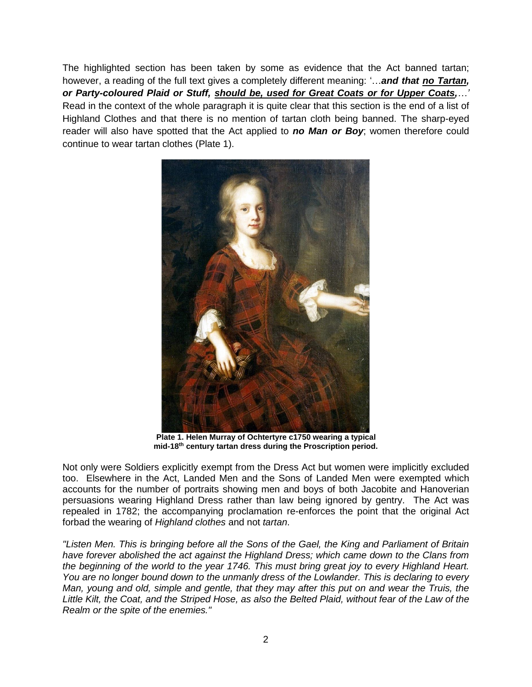The highlighted section has been taken by some as evidence that the Act banned tartan; however, a reading of the full text gives a completely different meaning: '…*and that no Tartan, or Party-coloured Plaid or Stuff, should be, used for Great Coats or for Upper Coats,…'* Read in the context of the whole paragraph it is quite clear that this section is the end of a list of Highland Clothes and that there is no mention of tartan cloth being banned. The sharp-eyed reader will also have spotted that the Act applied to *no Man or Boy*; women therefore could continue to wear tartan clothes (Plate 1).



**Plate 1. Helen Murray of Ochtertyre c1750 wearing a typical mid-18th century tartan dress during the Proscription period.**

Not only were Soldiers explicitly exempt from the Dress Act but women were implicitly excluded too. Elsewhere in the Act, Landed Men and the Sons of Landed Men were exempted which accounts for the number of portraits showing men and boys of both Jacobite and Hanoverian persuasions wearing Highland Dress rather than law being ignored by gentry. The Act was repealed in 1782; the accompanying proclamation re-enforces the point that the original Act forbad the wearing of *Highland clothes* and not *tartan*.

*"Listen Men. This is bringing before all the Sons of the Gael, the King and Parliament of Britain have forever abolished the act against the Highland Dress; which came down to the Clans from the beginning of the world to the year 1746. This must bring great joy to every Highland Heart. You are no longer bound down to the unmanly dress of the Lowlander. This is declaring to every Man, young and old, simple and gentle, that they may after this put on and wear the Truis, the Little Kilt, the Coat, and the Striped Hose, as also the Belted Plaid, without fear of the Law of the Realm or the spite of the enemies."*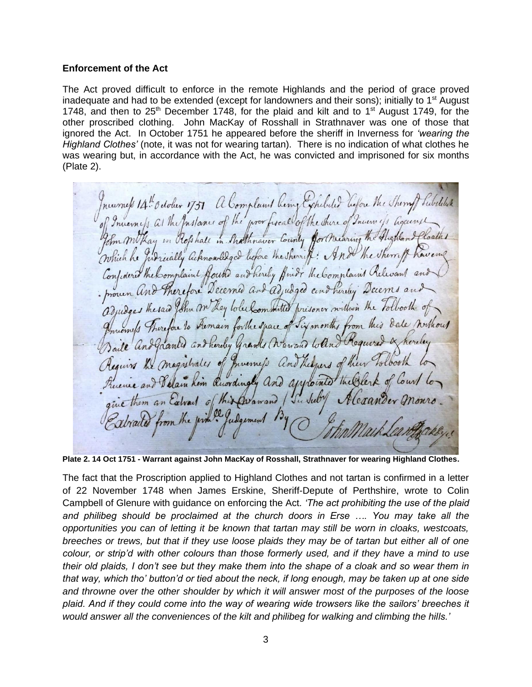#### **Enforcement of the Act**

The Act proved difficult to enforce in the remote Highlands and the period of grace proved inadequate and had to be extended (except for landowners and their sons); initially to 1<sup>st</sup> August 1748, and then to  $25<sup>th</sup>$  December 1748, for the plaid and kilt and to 1<sup>st</sup> August 1749, for the other proscribed clothing. John MacKay of Rosshall in Strathnaver was one of those that ignored the Act. In October 1751 he appeared before the sheriff in Inverness for *'wearing the Highland Clothes'* (note, it was not for wearing tartan). There is no indication of what clothes he was wearing but, in accordance with the Act, he was convicted and imprisoned for six months (Plate 2).

nearness 14th odolur 1751 a Complaint Reing Exhibited before the Sherry Subilities Inverness at the Instance of the prov fixed of the shire of Inverne is against Im mothay in Rofshall in Shatthnaver County for nearing the Aughland Judicially acknowledged before the sherriff: And the Sherry Which he Confident the Complaint found and hereby find The Complaint Relevant and Decemed and adjudged and hereby Decems Therefore thesaw John m hay lotel committed prisoner within the tolloothe of to Aremain forthe space of Six months from this date northout hereby grands (Warrand Coline Required an Baile an magistrates of Invernefs and there of im Ruordingly and approcuted Theosler alvail of this Divawand Justel

**Plate 2. 14 Oct 1751 - Warrant against John MacKay of Rosshall, Strathnaver for wearing Highland Clothes.** 

The fact that the Proscription applied to Highland Clothes and not tartan is confirmed in a letter of 22 November 1748 when James Erskine, Sheriff-Depute of Perthshire, wrote to Colin Campbell of Glenure with guidance on enforcing the Act*. 'The act prohibiting the use of the plaid and philibeg should be proclaimed at the church doors in Erse …. You may take all the opportunities you can of letting it be known that tartan may still be worn in cloaks, westcoats, breeches or trews, but that if they use loose plaids they may be of tartan but either all of one colour, or strip'd with other colours than those formerly used, and if they have a mind to use their old plaids, I don't see but they make them into the shape of a cloak and so wear them in that way, which tho' button'd or tied about the neck, if long enough, may be taken up at one side and throwne over the other shoulder by which it will answer most of the purposes of the loose plaid. And if they could come into the way of wearing wide trowsers like the sailors' breeches it would answer all the conveniences of the kilt and philibeg for walking and climbing the hills.'*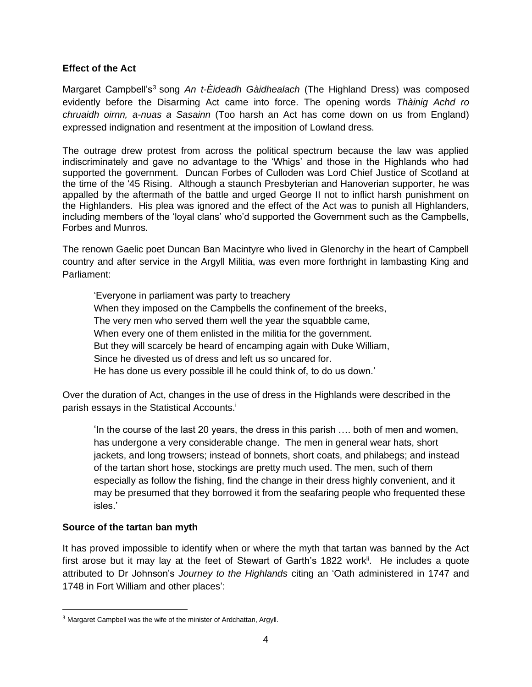## **Effect of the Act**

Margaret Campbell's<sup>3</sup> song An t-Eideadh Gàidhealach (The Highland Dress) was composed evidently before the Disarming Act came into force. The opening words *Thàinig Achd ro chruaidh oirnn, a-nuas a Sasainn* (Too harsh an Act has come down on us from England) expressed indignation and resentment at the imposition of Lowland dress.

The outrage drew protest from across the political spectrum because the law was applied indiscriminately and gave no advantage to the 'Whigs' and those in the Highlands who had supported the government. Duncan Forbes of Culloden was Lord Chief Justice of Scotland at the time of the '45 Rising. Although a staunch Presbyterian and Hanoverian supporter, he was appalled by the aftermath of the battle and urged George II not to inflict harsh punishment on the Highlanders. His plea was ignored and the effect of the Act was to punish all Highlanders, including members of the 'loyal clans' who'd supported the Government such as the Campbells, Forbes and Munros.

The renown Gaelic poet Duncan Ban Macintyre who lived in Glenorchy in the heart of Campbell country and after service in the Argyll Militia, was even more forthright in lambasting King and Parliament:

'Everyone in parliament was party to treachery When they imposed on the Campbells the confinement of the breeks, The very men who served them well the year the squabble came, When every one of them enlisted in the militia for the government. But they will scarcely be heard of encamping again with Duke William, Since he divested us of dress and left us so uncared for. He has done us every possible ill he could think of, to do us down.'

Over the duration of Act, changes in the use of dress in the Highlands were described in the parish essays in the Statistical Accounts.<sup>i</sup>

'In the course of the last 20 years, the dress in this parish …. both of men and women, has undergone a very considerable change. The men in general wear hats, short jackets, and long trowsers; instead of bonnets, short coats, and philabegs; and instead of the tartan short hose, stockings are pretty much used. The men, such of them especially as follow the fishing, find the change in their dress highly convenient, and it may be presumed that they borrowed it from the seafaring people who frequented these isles.'

# **Source of the tartan ban myth**

It has proved impossible to identify when or where the myth that tartan was banned by the Act first arose but it may lay at the feet of Stewart of Garth's 1822 work<sup>ii</sup>. He includes a quote attributed to Dr Johnson's *Journey to the Highlands* citing an 'Oath administered in 1747 and 1748 in Fort William and other places':

<sup>&</sup>lt;sup>3</sup> Margaret Campbell was the wife of the minister of Ardchattan, Argyll.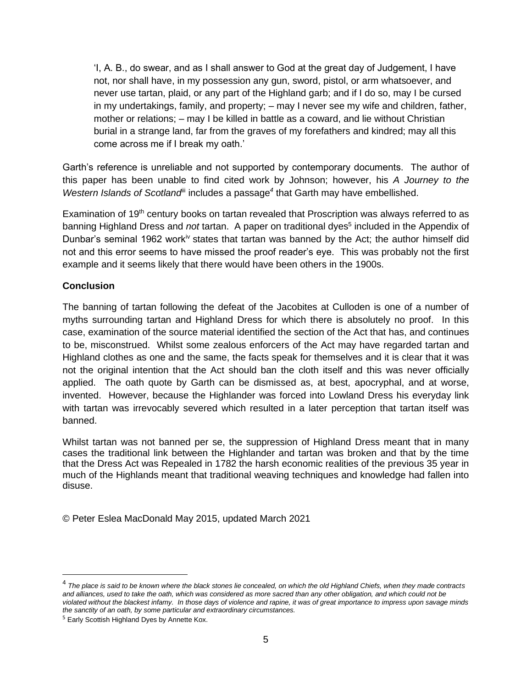'I, A. B., do swear, and as I shall answer to God at the great day of Judgement, I have not, nor shall have, in my possession any gun, sword, pistol, or arm whatsoever, and never use tartan, plaid, or any part of the Highland garb; and if I do so, may I be cursed in my undertakings, family, and property; – may I never see my wife and children, father, mother or relations; – may I be killed in battle as a coward, and lie without Christian burial in a strange land, far from the graves of my forefathers and kindred; may all this come across me if I break my oath.'

Garth's reference is unreliable and not supported by contemporary documents. The author of this paper has been unable to find cited work by Johnson; however, his *A Journey to the*  Western Islands of Scotland<sup>ii</sup> includes a passage<sup>4</sup> that Garth may have embellished.

Examination of  $19<sup>th</sup>$  century books on tartan revealed that Proscription was always referred to as banning Highland Dress and *not* tartan. A paper on traditional dyes<sup>5</sup> included in the Appendix of Dunbar's seminal 1962 work<sup>iv</sup> states that tartan was banned by the Act; the author himself did not and this error seems to have missed the proof reader's eye. This was probably not the first example and it seems likely that there would have been others in the 1900s.

# **Conclusion**

The banning of tartan following the defeat of the Jacobites at Culloden is one of a number of myths surrounding tartan and Highland Dress for which there is absolutely no proof. In this case, examination of the source material identified the section of the Act that has, and continues to be, misconstrued. Whilst some zealous enforcers of the Act may have regarded tartan and Highland clothes as one and the same, the facts speak for themselves and it is clear that it was not the original intention that the Act should ban the cloth itself and this was never officially applied. The oath quote by Garth can be dismissed as, at best, apocryphal, and at worse, invented. However, because the Highlander was forced into Lowland Dress his everyday link with tartan was irrevocably severed which resulted in a later perception that tartan itself was banned.

Whilst tartan was not banned per se, the suppression of Highland Dress meant that in many cases the traditional link between the Highlander and tartan was broken and that by the time that the Dress Act was Repealed in 1782 the harsh economic realities of the previous 35 year in much of the Highlands meant that traditional weaving techniques and knowledge had fallen into disuse.

© Peter Eslea MacDonald May 2015, updated March 2021

<sup>4</sup> *The place is said to be known where the black stones lie concealed, on which the old Highland Chiefs, when they made contracts and alliances, used to take the oath, which was considered as more sacred than any other obligation, and which could not be violated without the blackest infamy. In those days of violence and rapine, it was of great importance to impress upon savage minds the sanctity of an oath, by some particular and extraordinary circumstances.*

<sup>&</sup>lt;sup>5</sup> Early Scottish Highland Dyes by Annette Kox.